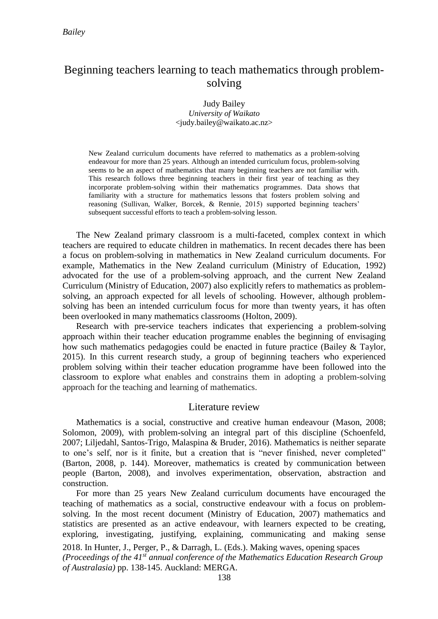# Beginning teachers learning to teach mathematics through problemsolving

Judy Bailey *University of Waikato* <judy.bailey@waikato.ac.nz>

New Zealand curriculum documents have referred to mathematics as a problem-solving endeavour for more than 25 years. Although an intended curriculum focus, problem-solving seems to be an aspect of mathematics that many beginning teachers are not familiar with. This research follows three beginning teachers in their first year of teaching as they incorporate problem-solving within their mathematics programmes. Data shows that familiarity with a structure for mathematics lessons that fosters problem solving and reasoning (Sullivan, Walker, Borcek, & Rennie, 2015) supported beginning teachers' subsequent successful efforts to teach a problem-solving lesson.

The New Zealand primary classroom is a multi-faceted, complex context in which teachers are required to educate children in mathematics. In recent decades there has been a focus on problem-solving in mathematics in New Zealand curriculum documents. For example, Mathematics in the New Zealand curriculum (Ministry of Education, 1992) advocated for the use of a problem-solving approach, and the current New Zealand Curriculum (Ministry of Education, 2007) also explicitly refers to mathematics as problemsolving, an approach expected for all levels of schooling. However, although problemsolving has been an intended curriculum focus for more than twenty years, it has often been overlooked in many mathematics classrooms (Holton, 2009).

Research with pre-service teachers indicates that experiencing a problem-solving approach within their teacher education programme enables the beginning of envisaging how such mathematics pedagogies could be enacted in future practice (Bailey & Taylor, 2015). In this current research study, a group of beginning teachers who experienced problem solving within their teacher education programme have been followed into the classroom to explore what enables and constrains them in adopting a problem-solving approach for the teaching and learning of mathematics.

## Literature review

Mathematics is a social, constructive and creative human endeavour (Mason, 2008; Solomon, 2009), with problem-solving an integral part of this discipline (Schoenfeld, 2007; Liljedahl, Santos-Trigo, Malaspina & Bruder, 2016). Mathematics is neither separate to one's self, nor is it finite, but a creation that is "never finished, never completed" (Barton, 2008, p. 144). Moreover, mathematics is created by communication between people (Barton, 2008), and involves experimentation, observation, abstraction and construction.

For more than 25 years New Zealand curriculum documents have encouraged the teaching of mathematics as a social, constructive endeavour with a focus on problemsolving. In the most recent document (Ministry of Education, 2007) mathematics and statistics are presented as an active endeavour, with learners expected to be creating, exploring, investigating, justifying, explaining, communicating and making sense

2018. In Hunter, J., Perger, P., & Darragh, L. (Eds.). Making waves, opening spaces *(Proceedings of the 41st annual conference of the Mathematics Education Research Group of Australasia)* pp. 138-145. Auckland: MERGA.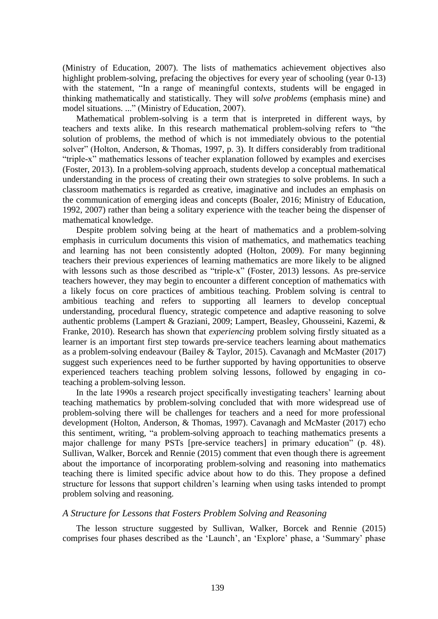(Ministry of Education, 2007). The lists of mathematics achievement objectives also highlight problem-solving, prefacing the objectives for every year of schooling (year 0-13) with the statement, "In a range of meaningful contexts*,* students will be engaged in thinking mathematically and statistically. They will *solve problems* (emphasis mine) and model situations. ..." (Ministry of Education, 2007).

Mathematical problem-solving is a term that is interpreted in different ways, by teachers and texts alike. In this research mathematical problem-solving refers to "the solution of problems, the method of which is not immediately obvious to the potential solver" (Holton, Anderson, & Thomas, 1997, p. 3). It differs considerably from traditional "triple-x" mathematics lessons of teacher explanation followed by examples and exercises (Foster, 2013). In a problem-solving approach, students develop a conceptual mathematical understanding in the process of creating their own strategies to solve problems. In such a classroom mathematics is regarded as creative, imaginative and includes an emphasis on the communication of emerging ideas and concepts (Boaler, 2016; Ministry of Education, 1992, 2007) rather than being a solitary experience with the teacher being the dispenser of mathematical knowledge.

Despite problem solving being at the heart of mathematics and a problem-solving emphasis in curriculum documents this vision of mathematics, and mathematics teaching and learning has not been consistently adopted (Holton, 2009). For many beginning teachers their previous experiences of learning mathematics are more likely to be aligned with lessons such as those described as "triple-x" (Foster, 2013) lessons. As pre-service teachers however, they may begin to encounter a different conception of mathematics with a likely focus on core practices of ambitious teaching. Problem solving is central to ambitious teaching and refers to supporting all learners to develop conceptual understanding, procedural fluency, strategic competence and adaptive reasoning to solve authentic problems (Lampert & Graziani, 2009; Lampert, Beasley, Ghousseini, Kazemi, & Franke, 2010). Research has shown that *experiencing* problem solving firstly situated as a learner is an important first step towards pre-service teachers learning about mathematics as a problem-solving endeavour (Bailey & Taylor, 2015). Cavanagh and McMaster (2017) suggest such experiences need to be further supported by having opportunities to observe experienced teachers teaching problem solving lessons, followed by engaging in coteaching a problem-solving lesson.

In the late 1990s a research project specifically investigating teachers' learning about teaching mathematics by problem-solving concluded that with more widespread use of problem-solving there will be challenges for teachers and a need for more professional development (Holton, Anderson, & Thomas, 1997). Cavanagh and McMaster (2017) echo this sentiment, writing, "a problem-solving approach to teaching mathematics presents a major challenge for many PSTs [pre-service teachers] in primary education" (p. 48). Sullivan, Walker, Borcek and Rennie (2015) comment that even though there is agreement about the importance of incorporating problem-solving and reasoning into mathematics teaching there is limited specific advice about how to do this. They propose a defined structure for lessons that support children's learning when using tasks intended to prompt problem solving and reasoning.

#### *A Structure for Lessons that Fosters Problem Solving and Reasoning*

The lesson structure suggested by Sullivan, Walker, Borcek and Rennie (2015) comprises four phases described as the 'Launch', an 'Explore' phase, a 'Summary' phase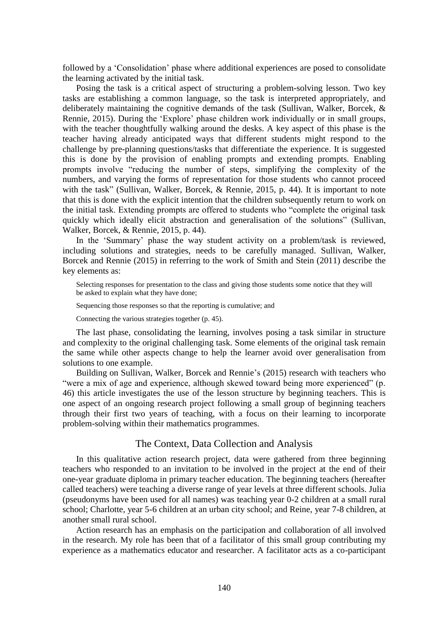followed by a 'Consolidation' phase where additional experiences are posed to consolidate the learning activated by the initial task.

Posing the task is a critical aspect of structuring a problem-solving lesson. Two key tasks are establishing a common language, so the task is interpreted appropriately, and deliberately maintaining the cognitive demands of the task (Sullivan, Walker, Borcek, & Rennie, 2015). During the 'Explore' phase children work individually or in small groups, with the teacher thoughtfully walking around the desks. A key aspect of this phase is the teacher having already anticipated ways that different students might respond to the challenge by pre-planning questions/tasks that differentiate the experience. It is suggested this is done by the provision of enabling prompts and extending prompts. Enabling prompts involve "reducing the number of steps, simplifying the complexity of the numbers, and varying the forms of representation for those students who cannot proceed with the task" (Sullivan, Walker, Borcek, & Rennie, 2015, p. 44). It is important to note that this is done with the explicit intention that the children subsequently return to work on the initial task. Extending prompts are offered to students who "complete the original task quickly which ideally elicit abstraction and generalisation of the solutions" (Sullivan, Walker, Borcek, & Rennie, 2015, p. 44).

In the 'Summary' phase the way student activity on a problem/task is reviewed, including solutions and strategies, needs to be carefully managed. Sullivan, Walker, Borcek and Rennie (2015) in referring to the work of Smith and Stein (2011) describe the key elements as:

Selecting responses for presentation to the class and giving those students some notice that they will be asked to explain what they have done;

Sequencing those responses so that the reporting is cumulative; and

Connecting the various strategies together (p. 45).

The last phase, consolidating the learning, involves posing a task similar in structure and complexity to the original challenging task. Some elements of the original task remain the same while other aspects change to help the learner avoid over generalisation from solutions to one example.

Building on Sullivan, Walker, Borcek and Rennie's (2015) research with teachers who "were a mix of age and experience, although skewed toward being more experienced" (p. 46) this article investigates the use of the lesson structure by beginning teachers. This is one aspect of an ongoing research project following a small group of beginning teachers through their first two years of teaching, with a focus on their learning to incorporate problem-solving within their mathematics programmes.

#### The Context, Data Collection and Analysis

In this qualitative action research project, data were gathered from three beginning teachers who responded to an invitation to be involved in the project at the end of their one-year graduate diploma in primary teacher education. The beginning teachers (hereafter called teachers) were teaching a diverse range of year levels at three different schools. Julia (pseudonyms have been used for all names) was teaching year 0-2 children at a small rural school; Charlotte, year 5-6 children at an urban city school; and Reine, year 7-8 children, at another small rural school.

Action research has an emphasis on the participation and collaboration of all involved in the research. My role has been that of a facilitator of this small group contributing my experience as a mathematics educator and researcher. A facilitator acts as a co-participant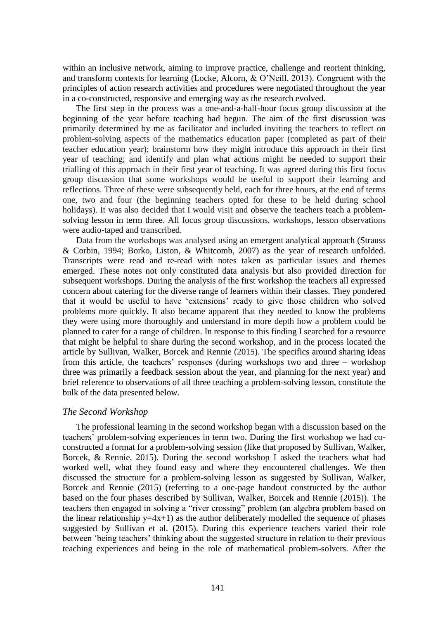within an inclusive network, aiming to improve practice, challenge and reorient thinking, and transform contexts for learning (Locke, Alcorn, & O'Neill, 2013). Congruent with the principles of action research activities and procedures were negotiated throughout the year in a co-constructed, responsive and emerging way as the research evolved.

The first step in the process was a one-and-a-half-hour focus group discussion at the beginning of the year before teaching had begun. The aim of the first discussion was primarily determined by me as facilitator and included inviting the teachers to reflect on problem-solving aspects of the mathematics education paper (completed as part of their teacher education year); brainstorm how they might introduce this approach in their first year of teaching; and identify and plan what actions might be needed to support their trialling of this approach in their first year of teaching. It was agreed during this first focus group discussion that some workshops would be useful to support their learning and reflections. Three of these were subsequently held, each for three hours, at the end of terms one, two and four (the beginning teachers opted for these to be held during school holidays). It was also decided that I would visit and observe the teachers teach a problemsolving lesson in term three. All focus group discussions, workshops, lesson observations were audio-taped and transcribed.

Data from the workshops was analysed using an emergent analytical approach (Strauss & Corbin, 1994; Borko, Liston, & Whitcomb, 2007) as the year of research unfolded. Transcripts were read and re-read with notes taken as particular issues and themes emerged. These notes not only constituted data analysis but also provided direction for subsequent workshops. During the analysis of the first workshop the teachers all expressed concern about catering for the diverse range of learners within their classes. They pondered that it would be useful to have 'extensions' ready to give those children who solved problems more quickly. It also became apparent that they needed to know the problems they were using more thoroughly and understand in more depth how a problem could be planned to cater for a range of children. In response to this finding I searched for a resource that might be helpful to share during the second workshop, and in the process located the article by Sullivan, Walker, Borcek and Rennie (2015). The specifics around sharing ideas from this article, the teachers' responses (during workshops two and three – workshop three was primarily a feedback session about the year, and planning for the next year) and brief reference to observations of all three teaching a problem-solving lesson, constitute the bulk of the data presented below.

## *The Second Workshop*

The professional learning in the second workshop began with a discussion based on the teachers' problem-solving experiences in term two. During the first workshop we had coconstructed a format for a problem-solving session (like that proposed by Sullivan, Walker, Borcek, & Rennie, 2015). During the second workshop I asked the teachers what had worked well, what they found easy and where they encountered challenges. We then discussed the structure for a problem-solving lesson as suggested by Sullivan, Walker, Borcek and Rennie (2015) (referring to a one-page handout constructed by the author based on the four phases described by Sullivan, Walker, Borcek and Rennie (2015)). The teachers then engaged in solving a "river crossing" problem (an algebra problem based on the linear relationship  $y=4x+1$ ) as the author deliberately modelled the sequence of phases suggested by Sullivan et al. (2015). During this experience teachers varied their role between 'being teachers' thinking about the suggested structure in relation to their previous teaching experiences and being in the role of mathematical problem-solvers. After the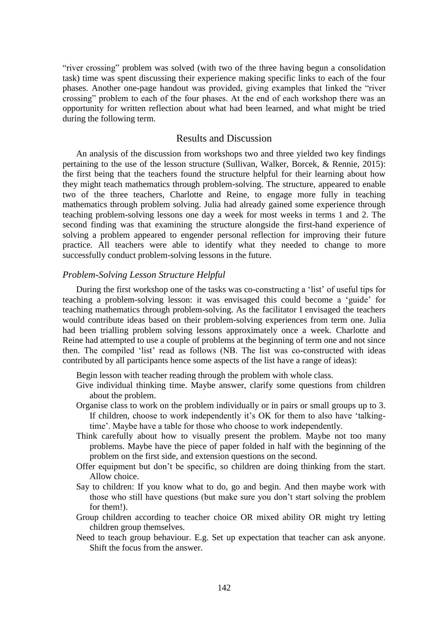"river crossing" problem was solved (with two of the three having begun a consolidation task) time was spent discussing their experience making specific links to each of the four phases. Another one-page handout was provided, giving examples that linked the "river crossing" problem to each of the four phases. At the end of each workshop there was an opportunity for written reflection about what had been learned, and what might be tried during the following term.

### Results and Discussion

An analysis of the discussion from workshops two and three yielded two key findings pertaining to the use of the lesson structure (Sullivan, Walker, Borcek, & Rennie, 2015): the first being that the teachers found the structure helpful for their learning about how they might teach mathematics through problem-solving. The structure, appeared to enable two of the three teachers, Charlotte and Reine, to engage more fully in teaching mathematics through problem solving. Julia had already gained some experience through teaching problem-solving lessons one day a week for most weeks in terms 1 and 2. The second finding was that examining the structure alongside the first-hand experience of solving a problem appeared to engender personal reflection for improving their future practice. All teachers were able to identify what they needed to change to more successfully conduct problem-solving lessons in the future.

#### *Problem-Solving Lesson Structure Helpful*

During the first workshop one of the tasks was co-constructing a 'list' of useful tips for teaching a problem-solving lesson: it was envisaged this could become a 'guide' for teaching mathematics through problem-solving. As the facilitator I envisaged the teachers would contribute ideas based on their problem-solving experiences from term one. Julia had been trialling problem solving lessons approximately once a week. Charlotte and Reine had attempted to use a couple of problems at the beginning of term one and not since then. The compiled 'list' read as follows (NB. The list was co-constructed with ideas contributed by all participants hence some aspects of the list have a range of ideas):

Begin lesson with teacher reading through the problem with whole class.

- Give individual thinking time. Maybe answer, clarify some questions from children about the problem.
- Organise class to work on the problem individually or in pairs or small groups up to 3. If children, choose to work independently it's OK for them to also have 'talkingtime'. Maybe have a table for those who choose to work independently.
- Think carefully about how to visually present the problem. Maybe not too many problems. Maybe have the piece of paper folded in half with the beginning of the problem on the first side, and extension questions on the second.
- Offer equipment but don't be specific, so children are doing thinking from the start. Allow choice.
- Say to children: If you know what to do, go and begin. And then maybe work with those who still have questions (but make sure you don't start solving the problem for them!).
- Group children according to teacher choice OR mixed ability OR might try letting children group themselves.
- Need to teach group behaviour. E.g. Set up expectation that teacher can ask anyone. Shift the focus from the answer.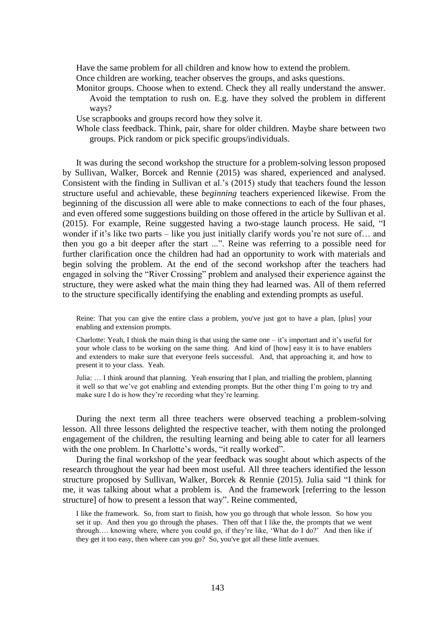Have the same problem for all children and know how to extend the problem. Once children are working, teacher observes the groups, and asks questions.

Monitor groups. Choose when to extend. Check they all really understand the answer. Avoid the temptation to rush on. E.g. have they solved the problem in different ways?

Use scrapbooks and groups record how they solve it.

Whole class feedback. Think, pair, share for older children. Maybe share between two groups. Pick random or pick specific groups/individuals.

It was during the second workshop the structure for a problem-solving lesson proposed by Sullivan, Walker, Borcek and Rennie (2015) was shared, experienced and analysed. Consistent with the finding in Sullivan et al.'s (2015) study that teachers found the lesson structure useful and achievable, these *beginning* teachers experienced likewise. From the beginning of the discussion all were able to make connections to each of the four phases, and even offered some suggestions building on those offered in the article by Sullivan et al. (2015). For example, Reine suggested having a two-stage launch process. He said, "I wonder if it's like two parts – like you just initially clarify words you're not sure of... and then you go a bit deeper after the start ...". Reine was referring to a possible need for further clarification once the children had had an opportunity to work with materials and begin solving the problem. At the end of the second workshop after the teachers had engaged in solving the "River Crossing" problem and analysed their experience against the structure, they were asked what the main thing they had learned was. All of them referred to the structure specifically identifying the enabling and extending prompts as useful.

Reine: That you can give the entire class a problem, you've just got to have a plan, [plus] your enabling and extension prompts.

Charlotte: Yeah, I think the main thing is that using the same one – it's important and it's useful for your whole class to be working on the same thing. And kind of [how] easy it is to have enablers and extenders to make sure that everyone feels successful. And, that approaching it, and how to present it to your class. Yeah.

Julia: … I think around that planning. Yeah ensuring that I plan, and trialling the problem, planning it well so that we've got enabling and extending prompts. But the other thing I'm going to try and make sure I do is how they're recording what they're learning.

During the next term all three teachers were observed teaching a problem-solving lesson. All three lessons delighted the respective teacher, with them noting the prolonged engagement of the children, the resulting learning and being able to cater for all learners with the one problem. In Charlotte's words, "it really worked".

During the final workshop of the year feedback was sought about which aspects of the research throughout the year had been most useful. All three teachers identified the lesson structure proposed by Sullivan, Walker, Borcek & Rennie (2015). Julia said "I think for me, it was talking about what a problem is. And the framework [referring to the lesson structure] of how to present a lesson that way". Reine commented,

I like the framework. So, from start to finish, how you go through that whole lesson. So how you set it up. And then you go through the phases. Then off that I like the, the prompts that we went through…. knowing where, where you could go, if they're like, 'What do I do?' And then like if they get it too easy, then where can you go? So, you've got all these little avenues.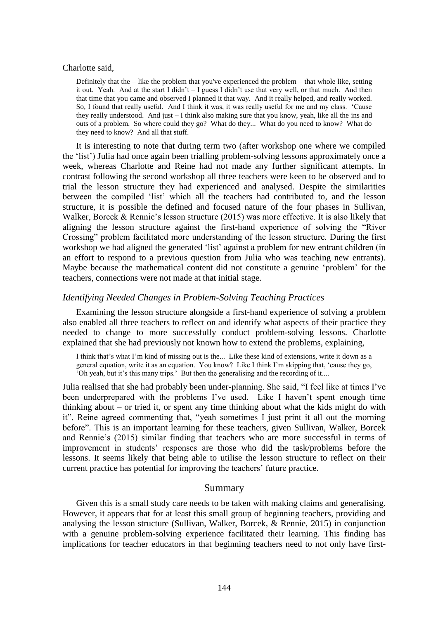#### Charlotte said,

Definitely that the  $-$  like the problem that you've experienced the problem  $-$  that whole like, setting it out. Yeah. And at the start I didn't – I guess I didn't use that very well, or that much. And then that time that you came and observed I planned it that way. And it really helped, and really worked. So, I found that really useful. And I think it was, it was really useful for me and my class. 'Cause they really understood. And just – I think also making sure that you know, yeah, like all the ins and outs of a problem. So where could they go? What do they... What do you need to know? What do they need to know? And all that stuff.

It is interesting to note that during term two (after workshop one where we compiled the 'list') Julia had once again been trialling problem-solving lessons approximately once a week, whereas Charlotte and Reine had not made any further significant attempts. In contrast following the second workshop all three teachers were keen to be observed and to trial the lesson structure they had experienced and analysed. Despite the similarities between the compiled 'list' which all the teachers had contributed to, and the lesson structure, it is possible the defined and focused nature of the four phases in Sullivan, Walker, Borcek & Rennie's lesson structure (2015) was more effective. It is also likely that aligning the lesson structure against the first-hand experience of solving the "River Crossing" problem facilitated more understanding of the lesson structure. During the first workshop we had aligned the generated 'list' against a problem for new entrant children (in an effort to respond to a previous question from Julia who was teaching new entrants). Maybe because the mathematical content did not constitute a genuine 'problem' for the teachers, connections were not made at that initial stage.

### *Identifying Needed Changes in Problem-Solving Teaching Practices*

Examining the lesson structure alongside a first-hand experience of solving a problem also enabled all three teachers to reflect on and identify what aspects of their practice they needed to change to more successfully conduct problem-solving lessons. Charlotte explained that she had previously not known how to extend the problems, explaining,

I think that's what I'm kind of missing out is the... Like these kind of extensions, write it down as a general equation, write it as an equation. You know? Like I think I'm skipping that, 'cause they go, 'Oh yeah, but it's this many trips.' But then the generalising and the recording of it....

Julia realised that she had probably been under-planning. She said, "I feel like at times I've been underprepared with the problems I've used. Like I haven't spent enough time thinking about – or tried it, or spent any time thinking about what the kids might do with it". Reine agreed commenting that, "yeah sometimes I just print it all out the morning before". This is an important learning for these teachers, given Sullivan, Walker, Borcek and Rennie's (2015) similar finding that teachers who are more successful in terms of improvement in students' responses are those who did the task/problems before the lessons. It seems likely that being able to utilise the lesson structure to reflect on their current practice has potential for improving the teachers' future practice.

#### Summary

Given this is a small study care needs to be taken with making claims and generalising. However, it appears that for at least this small group of beginning teachers, providing and analysing the lesson structure (Sullivan, Walker, Borcek, & Rennie, 2015) in conjunction with a genuine problem-solving experience facilitated their learning. This finding has implications for teacher educators in that beginning teachers need to not only have first